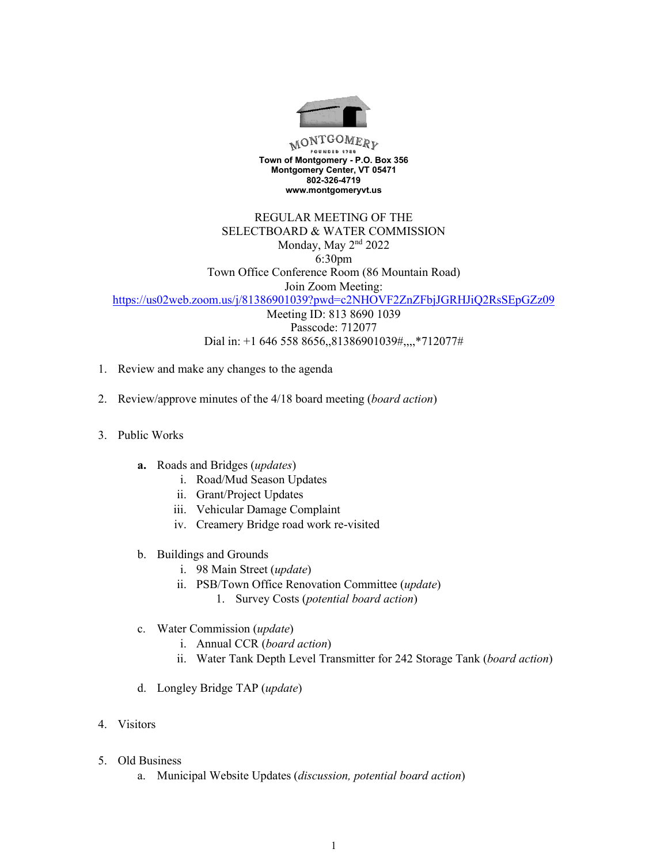

MONTGOMERY **Town of Montgomery - P.O. Box 356 Montgomery Center, VT 05471 802-326-4719 www.montgomeryvt.us**

REGULAR MEETING OF THE SELECTBOARD & WATER COMMISSION Monday, May 2<sup>nd</sup> 2022 6:30pm Town Office Conference Room (86 Mountain Road)

Join Zoom Meeting: https://us02web.zoom.us/j/81386901039?pwd=c2NHOVF2ZnZFbjJGRHJiQ2RsSEpGZz09

Meeting ID: 813 8690 1039 Passcode: 712077 Dial in: +1 646 558 8656,,81386901039#,,,,\*712077#

- 1. Review and make any changes to the agenda
- 2. Review/approve minutes of the 4/18 board meeting (*board action*)
- 3. Public Works
	- **a.** Roads and Bridges (*updates*)
		- i. Road/Mud Season Updates
		- ii. Grant/Project Updates
		- iii. Vehicular Damage Complaint
		- iv. Creamery Bridge road work re-visited
	- b. Buildings and Grounds
		- i. 98 Main Street (*update*)
		- ii. PSB/Town Office Renovation Committee (*update*)
			- 1. Survey Costs (*potential board action*)
	- c. Water Commission (*update*)
		- i. Annual CCR (*board action*)
		- ii. Water Tank Depth Level Transmitter for 242 Storage Tank (*board action*)
	- d. Longley Bridge TAP (*update*)
- 4. Visitors
- 5. Old Business
	- a. Municipal Website Updates (*discussion, potential board action*)